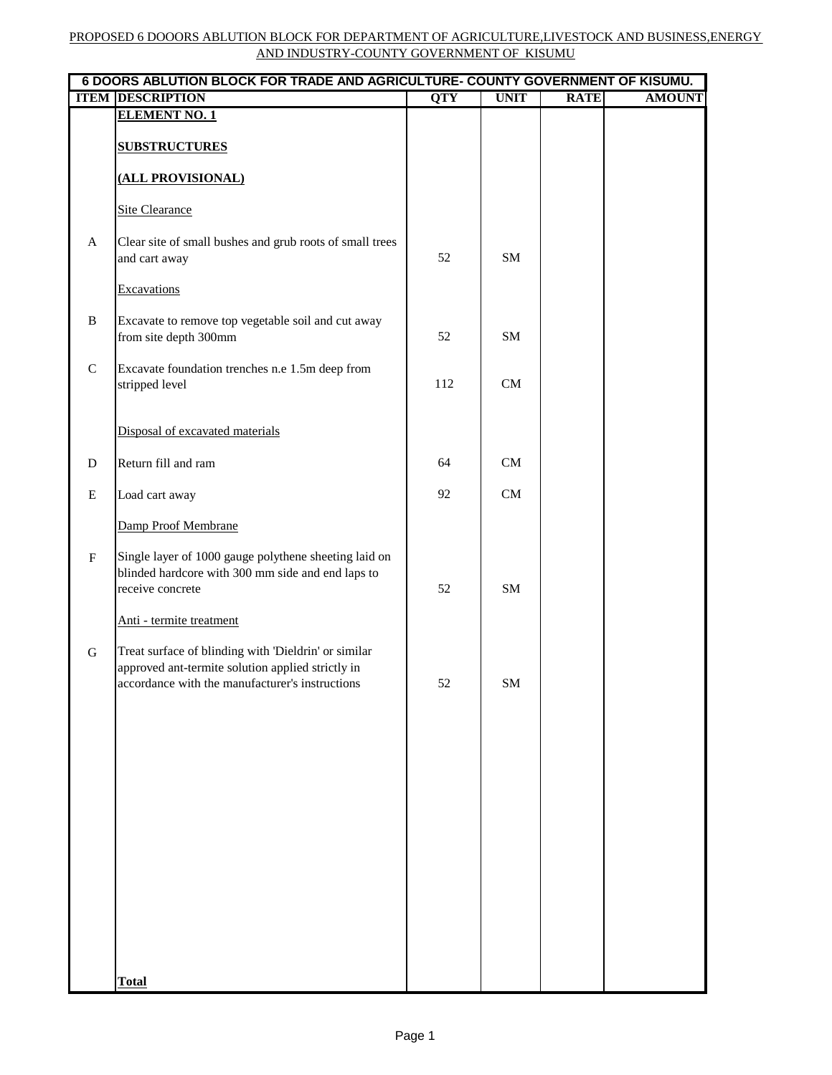|              | 6 DOORS ABLUTION BLOCK FOR TRADE AND AGRICULTURE- COUNTY GOVERNMENT OF KISUMU.                                                                               |            |             |             |               |  |
|--------------|--------------------------------------------------------------------------------------------------------------------------------------------------------------|------------|-------------|-------------|---------------|--|
|              | <b>ITEM DESCRIPTION</b>                                                                                                                                      | <b>QTY</b> | <b>UNIT</b> | <b>RATE</b> | <b>AMOUNT</b> |  |
|              | <b>ELEMENT NO. 1</b><br><b>SUBSTRUCTURES</b>                                                                                                                 |            |             |             |               |  |
|              | (ALL PROVISIONAL)                                                                                                                                            |            |             |             |               |  |
|              | <b>Site Clearance</b>                                                                                                                                        |            |             |             |               |  |
| A            | Clear site of small bushes and grub roots of small trees<br>and cart away                                                                                    | 52         | <b>SM</b>   |             |               |  |
|              | Excavations                                                                                                                                                  |            |             |             |               |  |
| $\, {\bf B}$ | Excavate to remove top vegetable soil and cut away<br>from site depth 300mm                                                                                  | 52         | <b>SM</b>   |             |               |  |
| $\mathbf C$  | Excavate foundation trenches n.e 1.5m deep from<br>stripped level                                                                                            | 112        | CM          |             |               |  |
|              | Disposal of excavated materials                                                                                                                              |            |             |             |               |  |
| $\mathbf D$  | Return fill and ram                                                                                                                                          | 64         | CM          |             |               |  |
| E            | Load cart away                                                                                                                                               | 92         | CM          |             |               |  |
|              | Damp Proof Membrane                                                                                                                                          |            |             |             |               |  |
| ${\bf F}$    | Single layer of 1000 gauge polythene sheeting laid on<br>blinded hardcore with 300 mm side and end laps to<br>receive concrete                               | 52         | <b>SM</b>   |             |               |  |
|              | Anti - termite treatment                                                                                                                                     |            |             |             |               |  |
| ${\bf G}$    | Treat surface of blinding with 'Dieldrin' or similar<br>approved ant-termite solution applied strictly in<br>accordance with the manufacturer's instructions | 52         | ${\bf SM}$  |             |               |  |
|              |                                                                                                                                                              |            |             |             |               |  |
|              |                                                                                                                                                              |            |             |             |               |  |
|              |                                                                                                                                                              |            |             |             |               |  |
|              |                                                                                                                                                              |            |             |             |               |  |
|              |                                                                                                                                                              |            |             |             |               |  |
|              |                                                                                                                                                              |            |             |             |               |  |
|              |                                                                                                                                                              |            |             |             |               |  |
|              | <b>Total</b>                                                                                                                                                 |            |             |             |               |  |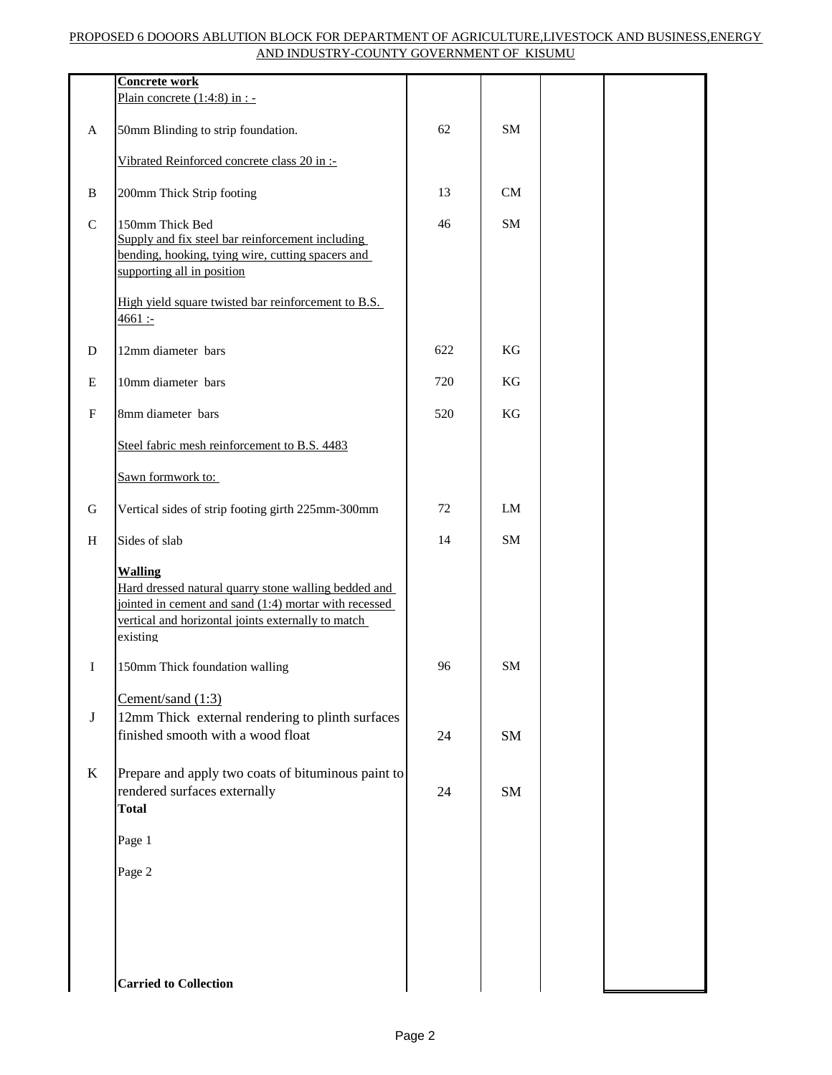|                           | <b>Concrete work</b>                                                                                                                                                                              |     |           |  |
|---------------------------|---------------------------------------------------------------------------------------------------------------------------------------------------------------------------------------------------|-----|-----------|--|
|                           | Plain concrete $(1:4:8)$ in : -                                                                                                                                                                   |     |           |  |
| A                         | 50mm Blinding to strip foundation.                                                                                                                                                                | 62  | <b>SM</b> |  |
|                           | Vibrated Reinforced concrete class 20 in :-                                                                                                                                                       |     |           |  |
| B                         | 200mm Thick Strip footing                                                                                                                                                                         | 13  | CM        |  |
| $\mathbf C$               | 150mm Thick Bed<br>Supply and fix steel bar reinforcement including<br>bending, hooking, tying wire, cutting spacers and<br>supporting all in position                                            | 46  | SM        |  |
|                           | High yield square twisted bar reinforcement to B.S.<br>4661:                                                                                                                                      |     |           |  |
| ${\rm D}$                 | 12mm diameter bars                                                                                                                                                                                | 622 | KG        |  |
| E                         | 10mm diameter bars                                                                                                                                                                                | 720 | KG        |  |
| $\boldsymbol{\mathrm{F}}$ | 8mm diameter bars                                                                                                                                                                                 | 520 | KG        |  |
|                           | Steel fabric mesh reinforcement to B.S. 4483                                                                                                                                                      |     |           |  |
|                           | Sawn formwork to:                                                                                                                                                                                 |     |           |  |
| G                         | Vertical sides of strip footing girth 225mm-300mm                                                                                                                                                 | 72  | LM        |  |
| H                         | Sides of slab                                                                                                                                                                                     | 14  | <b>SM</b> |  |
|                           | <b>Walling</b><br>Hard dressed natural quarry stone walling bedded and<br>jointed in cement and sand (1:4) mortar with recessed<br>vertical and horizontal joints externally to match<br>existing |     |           |  |
| I                         | 150mm Thick foundation walling                                                                                                                                                                    | 96  | SM        |  |
|                           | Cement/sand (1:3)                                                                                                                                                                                 |     |           |  |
| $\bf J$                   | 12mm Thick external rendering to plinth surfaces                                                                                                                                                  |     |           |  |
|                           | finished smooth with a wood float                                                                                                                                                                 | 24  | SM        |  |
| $\bf K$                   | Prepare and apply two coats of bituminous paint to<br>rendered surfaces externally<br><b>Total</b>                                                                                                | 24  | SM        |  |
|                           | Page 1                                                                                                                                                                                            |     |           |  |
|                           | Page 2                                                                                                                                                                                            |     |           |  |
|                           |                                                                                                                                                                                                   |     |           |  |
|                           | <b>Carried to Collection</b>                                                                                                                                                                      |     |           |  |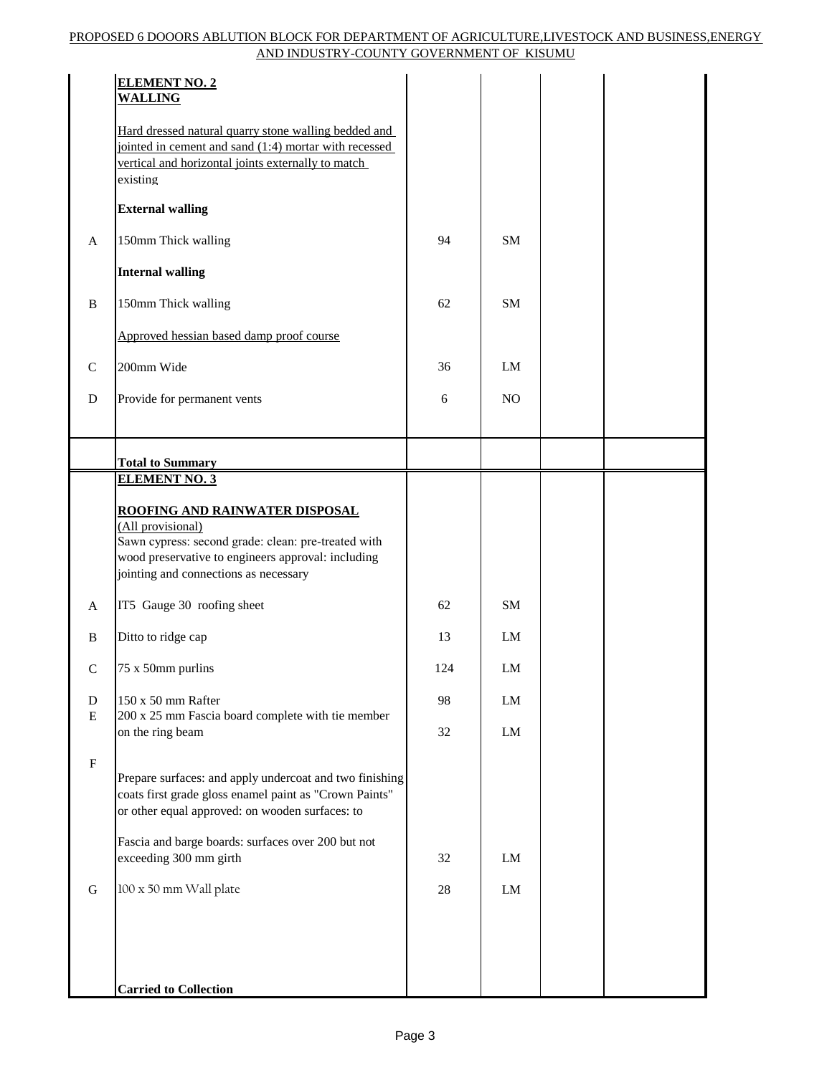|              | <b>ELEMENT NO. 2</b><br><b>WALLING</b>                                                                                                                                          |     |            |  |  |
|--------------|---------------------------------------------------------------------------------------------------------------------------------------------------------------------------------|-----|------------|--|--|
|              | Hard dressed natural quarry stone walling bedded and<br>jointed in cement and sand (1:4) mortar with recessed<br>vertical and horizontal joints externally to match<br>existing |     |            |  |  |
|              | <b>External walling</b>                                                                                                                                                         |     |            |  |  |
| $\mathbf{A}$ | 150mm Thick walling                                                                                                                                                             | 94  | <b>SM</b>  |  |  |
|              | <b>Internal walling</b>                                                                                                                                                         |     |            |  |  |
| $\, {\bf B}$ | 150mm Thick walling                                                                                                                                                             | 62  | <b>SM</b>  |  |  |
|              | Approved hessian based damp proof course                                                                                                                                        |     |            |  |  |
| ${\bf C}$    | 200mm Wide                                                                                                                                                                      | 36  | LM         |  |  |
| ${\bf D}$    | Provide for permanent vents                                                                                                                                                     | 6   | NO         |  |  |
|              |                                                                                                                                                                                 |     |            |  |  |
|              | <b>Total to Summary</b>                                                                                                                                                         |     |            |  |  |
|              | <b>ELEMENT NO. 3</b>                                                                                                                                                            |     |            |  |  |
|              | ROOFING AND RAINWATER DISPOSAL<br>(All provisional)                                                                                                                             |     |            |  |  |
|              | Sawn cypress: second grade: clean: pre-treated with<br>wood preservative to engineers approval: including<br>jointing and connections as necessary                              |     |            |  |  |
| $\mathbf{A}$ | IT5 Gauge 30 roofing sheet                                                                                                                                                      | 62  | SM         |  |  |
| B            | Ditto to ridge cap                                                                                                                                                              | 13  | LM         |  |  |
| C            | 75 x 50mm purlins                                                                                                                                                               | 124 | LM         |  |  |
| $\mathbf D$  | 150 x 50 mm Rafter                                                                                                                                                              | 98  | LM         |  |  |
| ${\bf E}$    | 200 x 25 mm Fascia board complete with tie member<br>on the ring beam                                                                                                           | 32  | ${\rm LM}$ |  |  |
| ${\bf F}$    |                                                                                                                                                                                 |     |            |  |  |
|              | Prepare surfaces: and apply undercoat and two finishing<br>coats first grade gloss enamel paint as "Crown Paints"<br>or other equal approved: on wooden surfaces: to            |     |            |  |  |
|              | Fascia and barge boards: surfaces over 200 but not<br>exceeding 300 mm girth                                                                                                    | 32  | ${\rm LM}$ |  |  |
| ${\bf G}$    | 100 x 50 mm Wall plate                                                                                                                                                          | 28  | LM         |  |  |
|              |                                                                                                                                                                                 |     |            |  |  |
|              |                                                                                                                                                                                 |     |            |  |  |
|              | <b>Carried to Collection</b>                                                                                                                                                    |     |            |  |  |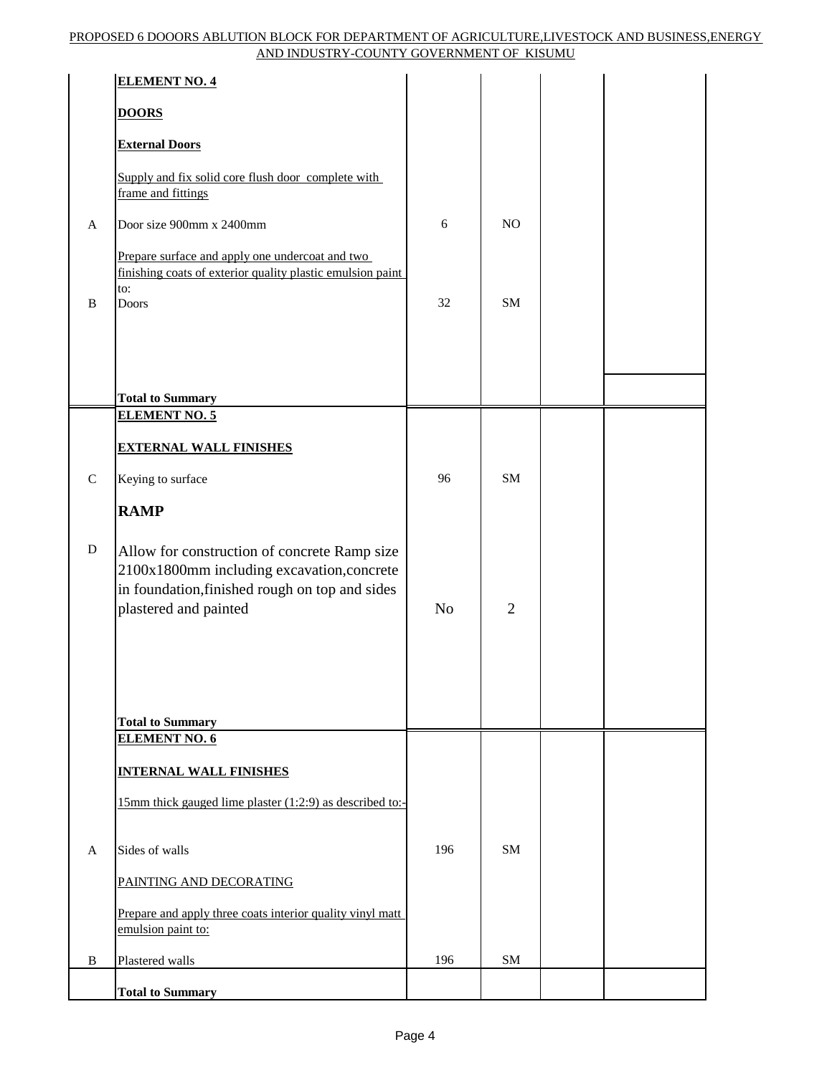|             | <b>ELEMENT NO. 4</b>                                                                                                                                                  |                |                |  |
|-------------|-----------------------------------------------------------------------------------------------------------------------------------------------------------------------|----------------|----------------|--|
|             | <b>DOORS</b>                                                                                                                                                          |                |                |  |
|             | <b>External Doors</b>                                                                                                                                                 |                |                |  |
|             | Supply and fix solid core flush door complete with<br>frame and fittings                                                                                              |                |                |  |
| A           | Door size 900mm x 2400mm                                                                                                                                              | 6              | N <sub>O</sub> |  |
|             | Prepare surface and apply one undercoat and two<br>finishing coats of exterior quality plastic emulsion paint<br>to:                                                  |                |                |  |
| $\bf{B}$    | Doors                                                                                                                                                                 | 32             | <b>SM</b>      |  |
|             |                                                                                                                                                                       |                |                |  |
|             | <b>Total to Summary</b>                                                                                                                                               |                |                |  |
|             | <b>ELEMENT NO. 5</b>                                                                                                                                                  |                |                |  |
|             | <b>EXTERNAL WALL FINISHES</b>                                                                                                                                         |                |                |  |
| $\mathbf C$ | Keying to surface                                                                                                                                                     | 96             | <b>SM</b>      |  |
|             | <b>RAMP</b>                                                                                                                                                           |                |                |  |
| $\mathbf D$ | Allow for construction of concrete Ramp size<br>2100x1800mm including excavation, concrete<br>in foundation, finished rough on top and sides<br>plastered and painted | N <sub>o</sub> | $\overline{2}$ |  |
|             | <b>Total to Summary</b>                                                                                                                                               |                |                |  |
|             | <b>ELEMENT NO. 6</b>                                                                                                                                                  |                |                |  |
|             | <b>INTERNAL WALL FINISHES</b>                                                                                                                                         |                |                |  |
|             | 15mm thick gauged lime plaster (1:2:9) as described to:-                                                                                                              |                |                |  |
| A           | Sides of walls                                                                                                                                                        | 196            | SM             |  |
|             | PAINTING AND DECORATING                                                                                                                                               |                |                |  |
|             | Prepare and apply three coats interior quality vinyl matt<br>emulsion paint to:                                                                                       |                |                |  |
| B           | Plastered walls                                                                                                                                                       | 196            | ${\bf SM}$     |  |
|             | <b>Total to Summary</b>                                                                                                                                               |                |                |  |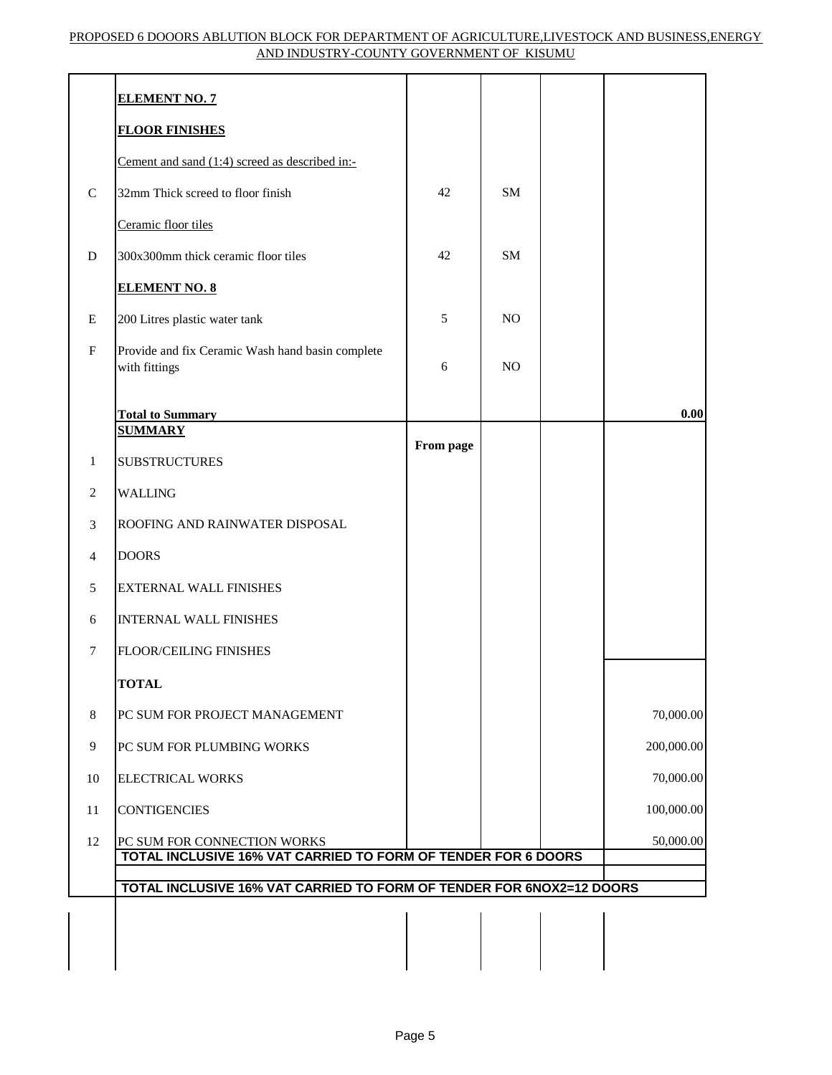|                           | <b>ELEMENT NO. 7</b>                                                                         |           |                |            |
|---------------------------|----------------------------------------------------------------------------------------------|-----------|----------------|------------|
|                           | <b>FLOOR FINISHES</b>                                                                        |           |                |            |
|                           | Cement and sand (1:4) screed as described in:-                                               |           |                |            |
| ${\bf C}$                 | 32mm Thick screed to floor finish                                                            | 42        | <b>SM</b>      |            |
|                           | Ceramic floor tiles                                                                          |           |                |            |
| $\mathbf D$               | 300x300mm thick ceramic floor tiles                                                          | 42        | <b>SM</b>      |            |
|                           | <b>ELEMENT NO. 8</b>                                                                         |           |                |            |
| E                         | 200 Litres plastic water tank                                                                | 5         | N <sub>O</sub> |            |
| $\boldsymbol{\mathrm{F}}$ | Provide and fix Ceramic Wash hand basin complete<br>with fittings                            | 6         | NO             |            |
|                           | <b>Total to Summary</b><br><b>SUMMARY</b>                                                    |           |                | 0.00       |
| $\mathbf{1}$              | <b>SUBSTRUCTURES</b>                                                                         | From page |                |            |
| $\overline{2}$            | <b>WALLING</b>                                                                               |           |                |            |
| 3                         | ROOFING AND RAINWATER DISPOSAL                                                               |           |                |            |
| $\overline{4}$            | <b>DOORS</b>                                                                                 |           |                |            |
| 5                         | <b>EXTERNAL WALL FINISHES</b>                                                                |           |                |            |
| 6                         | <b>INTERNAL WALL FINISHES</b>                                                                |           |                |            |
| $\tau$                    | FLOOR/CEILING FINISHES                                                                       |           |                |            |
|                           | <b>TOTAL</b>                                                                                 |           |                |            |
| $\,8\,$                   | PC SUM FOR PROJECT MANAGEMENT                                                                |           |                | 70,000.00  |
| 9                         | PC SUM FOR PLUMBING WORKS                                                                    |           |                | 200,000.00 |
| 10                        | <b>ELECTRICAL WORKS</b>                                                                      |           |                | 70,000.00  |
| 11                        | <b>CONTIGENCIES</b>                                                                          |           |                | 100,000.00 |
| 12                        | PC SUM FOR CONNECTION WORKS<br>TOTAL INCLUSIVE 16% VAT CARRIED TO FORM OF TENDER FOR 6 DOORS |           |                | 50,000.00  |
|                           |                                                                                              |           |                |            |
|                           | TOTAL INCLUSIVE 16% VAT CARRIED TO FORM OF TENDER FOR 6NOX2=12 DOORS                         |           |                |            |
|                           |                                                                                              |           |                |            |
|                           |                                                                                              |           |                |            |
|                           |                                                                                              |           |                |            |